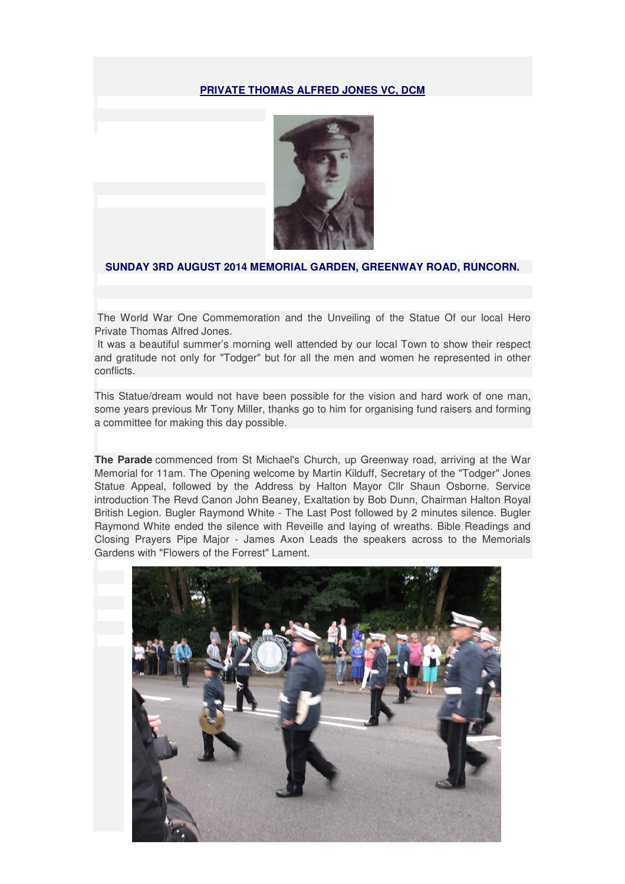## **PRIVATE THOMAS ALFRED JONES VC, DCM**



## **SUNDAY 3RD AUGUST 2014 MEMORIAL GARDEN, GREENWAY ROAD, RUNCORN.**

 The World War One Commemoration and the Unveiling of the Statue Of our local Hero Private Thomas Alfred Jones.

 It was a beautiful summer's morning well attended by our local Town to show their respect and gratitude not only for "Todger" but for all the men and women he represented in other conflicts.

This Statue/dream would not have been possible for the vision and hard work of one man, some years previous Mr Tony Miller, thanks go to him for organising fund raisers and forming a committee for making this day possible.

**The Parade** commenced from St Michael's Church, up Greenway road, arriving at the War Memorial for 11am. The Opening welcome by Martin Kilduff, Secretary of the "Todger" Jones Statue Appeal, followed by the Address by Halton Mayor Cllr Shaun Osborne. Service introduction The Revd Canon John Beaney, Exaltation by Bob Dunn, Chairman Halton Royal British Legion. Bugler Raymond White - The Last Post followed by 2 minutes silence. Bugler Raymond White ended the silence with Reveille and laying of wreaths. Bible Readings and Closing Prayers Pipe Major - James Axon Leads the speakers across to the Memorials Gardens with "Flowers of the Forrest" Lament.

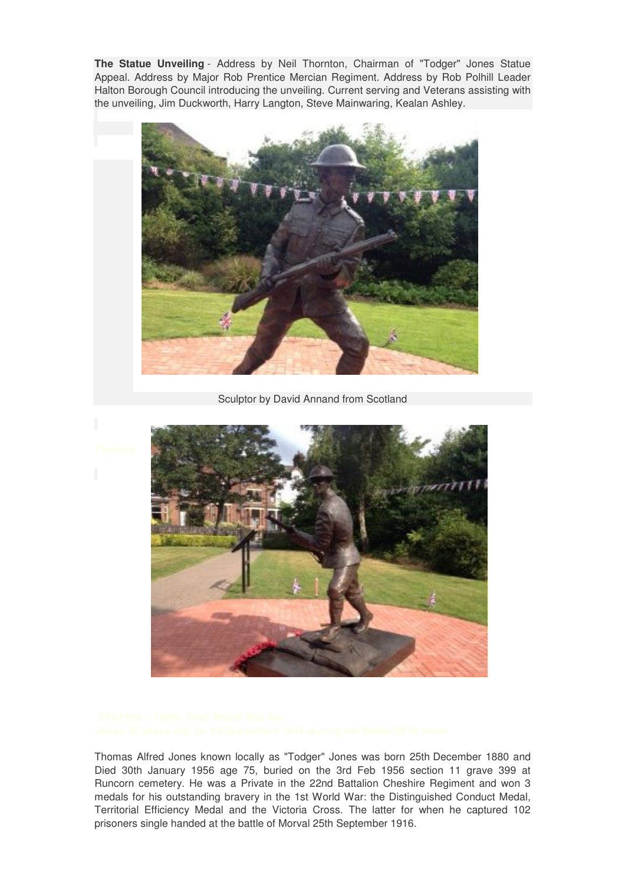**The Statue Unveiling** - Address by Neil Thornton, Chairman of "Todger" Jones Statue Appeal. Address by Major Rob Prentice Mercian Regiment. Address by Rob Polhill Leader Halton Borough Council introducing the unveiling. Current serving and Veterans assisting with the unveiling, Jim Duckworth, Harry Langton, Steve Mainwaring, Kealan Ashley.



Sculptor by David Annand from Scotland



Thomas Alfred Jones known locally as "Todger" Jones was born 25th December 1880 and Died 30th January 1956 age 75, buried on the 3rd Feb 1956 section 11 grave 399 at Runcorn cemetery. He was a Private in the 22nd Battalion Cheshire Regiment and won 3 medals for his outstanding bravery in the 1st World War: the Distinguished Conduct Medal, Territorial Efficiency Medal and the Victoria Cross. The latter for when he captured 102 prisoners single handed at the battle of Morval 25th September 1916.